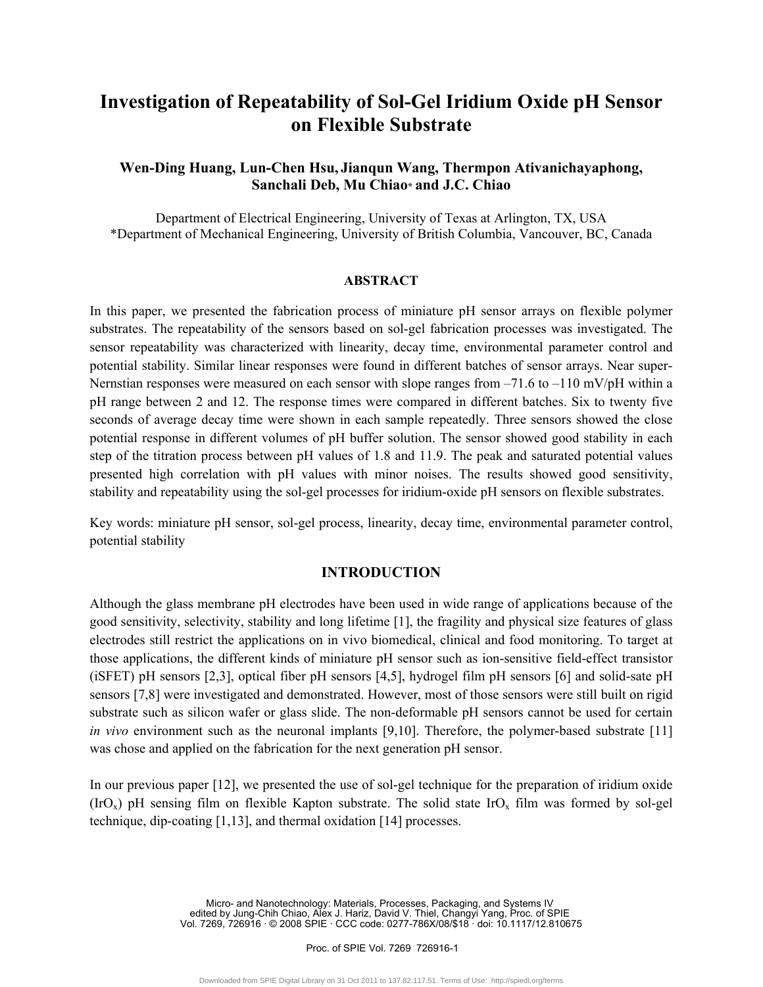# **Investigation of Repeatability of Sol-Gel Iridium Oxide pH Sensor on Flexible Substrate**

# **Wen-Ding Huang, Lun-Chen Hsu, Jianqun Wang, Thermpon Ativanichayaphong, Sanchali Deb, Mu Chiao\* and J.C. Chiao**

Department of Electrical Engineering, University of Texas at Arlington, TX, USA \*Department of Mechanical Engineering, University of British Columbia, Vancouver, BC, Canada

## **ABSTRACT**

In this paper, we presented the fabrication process of miniature pH sensor arrays on flexible polymer substrates. The repeatability of the sensors based on sol-gel fabrication processes was investigated. The sensor repeatability was characterized with linearity, decay time, environmental parameter control and potential stability. Similar linear responses were found in different batches of sensor arrays. Near super-Nernstian responses were measured on each sensor with slope ranges from  $-71.6$  to  $-110$  mV/pH within a pH range between 2 and 12. The response times were compared in different batches. Six to twenty five seconds of average decay time were shown in each sample repeatedly. Three sensors showed the close potential response in different volumes of pH buffer solution. The sensor showed good stability in each step of the titration process between pH values of 1.8 and 11.9. The peak and saturated potential values presented high correlation with pH values with minor noises. The results showed good sensitivity, stability and repeatability using the sol-gel processes for iridium-oxide pH sensors on flexible substrates.

Key words: miniature pH sensor, sol-gel process, linearity, decay time, environmental parameter control, potential stability

# **INTRODUCTION**

Although the glass membrane pH electrodes have been used in wide range of applications because of the good sensitivity, selectivity, stability and long lifetime [1], the fragility and physical size features of glass electrodes still restrict the applications on in vivo biomedical, clinical and food monitoring. To target at those applications, the different kinds of miniature pH sensor such as ion-sensitive field-effect transistor (iSFET) pH sensors [2,3], optical fiber pH sensors [4,5], hydrogel film pH sensors [6] and solid-sate pH sensors [7,8] were investigated and demonstrated. However, most of those sensors were still built on rigid substrate such as silicon wafer or glass slide. The non-deformable pH sensors cannot be used for certain *in vivo* environment such as the neuronal implants [9,10]. Therefore, the polymer-based substrate [11] was chose and applied on the fabrication for the next generation pH sensor.

In our previous paper [12], we presented the use of sol-gel technique for the preparation of iridium oxide  $(IrO<sub>x</sub>)$  pH sensing film on flexible Kapton substrate. The solid state IrO<sub>x</sub> film was formed by sol-gel technique, dip-coating [1,13], and thermal oxidation [14] processes.

> Micro- and Nanotechnology: Materials, Processes, Packaging, and Systems IV edited by Jung-Chih Chiao, Alex J. Hariz, David V. Thiel, Changyi Yang, Proc. of SPIE Vol. 7269, 726916 · © 2008 SPIE · CCC code: 0277-786X/08/\$18 · doi: 10.1117/12.810675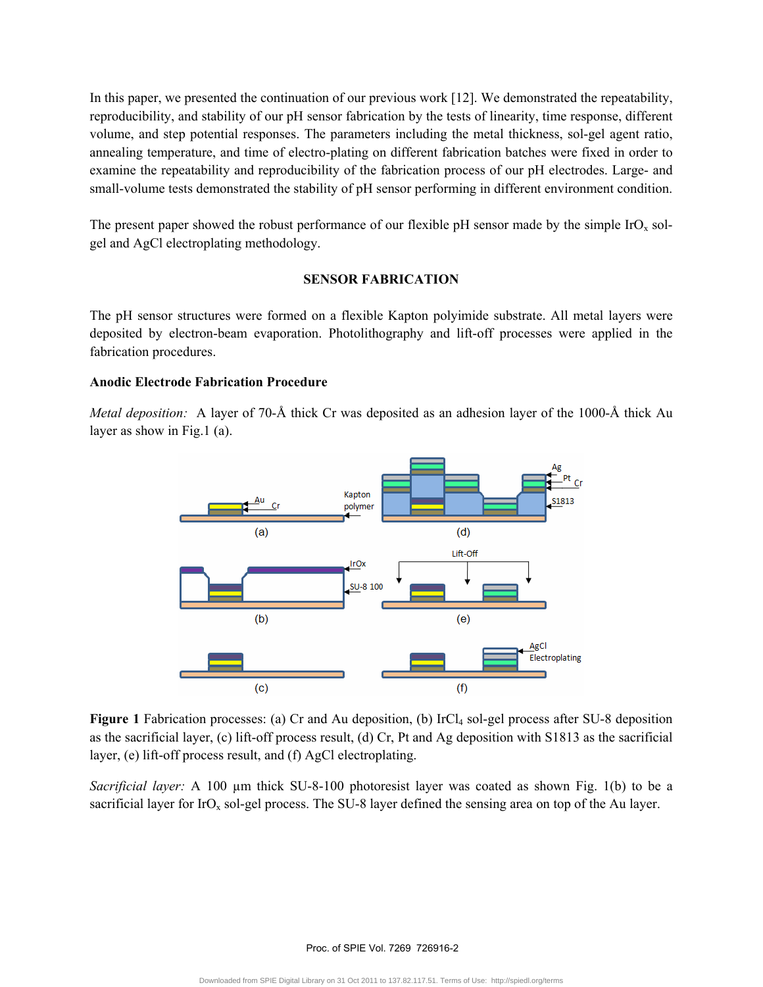In this paper, we presented the continuation of our previous work [12]. We demonstrated the repeatability, reproducibility, and stability of our pH sensor fabrication by the tests of linearity, time response, different volume, and step potential responses. The parameters including the metal thickness, sol-gel agent ratio, annealing temperature, and time of electro-plating on different fabrication batches were fixed in order to examine the repeatability and reproducibility of the fabrication process of our pH electrodes. Large- and small-volume tests demonstrated the stability of pH sensor performing in different environment condition.

The present paper showed the robust performance of our flexible pH sensor made by the simple  $IrO<sub>x</sub>$  solgel and AgCl electroplating methodology.

# **SENSOR FABRICATION**

The pH sensor structures were formed on a flexible Kapton polyimide substrate. All metal layers were deposited by electron-beam evaporation. Photolithography and lift-off processes were applied in the fabrication procedures.

## **Anodic Electrode Fabrication Procedure**

*Metal deposition:* A layer of 70-Å thick Cr was deposited as an adhesion layer of the 1000-Å thick Au layer as show in Fig.1 (a).



Figure 1 Fabrication processes: (a) Cr and Au deposition, (b) IrCl<sub>4</sub> sol-gel process after SU-8 deposition as the sacrificial layer, (c) lift-off process result, (d) Cr, Pt and Ag deposition with S1813 as the sacrificial layer, (e) lift-off process result, and (f) AgCl electroplating.

*Sacrificial layer:* A 100 µm thick SU-8-100 photoresist layer was coated as shown Fig. 1(b) to be a sacrificial layer for  $IrO<sub>x</sub>$  sol-gel process. The SU-8 layer defined the sensing area on top of the Au layer.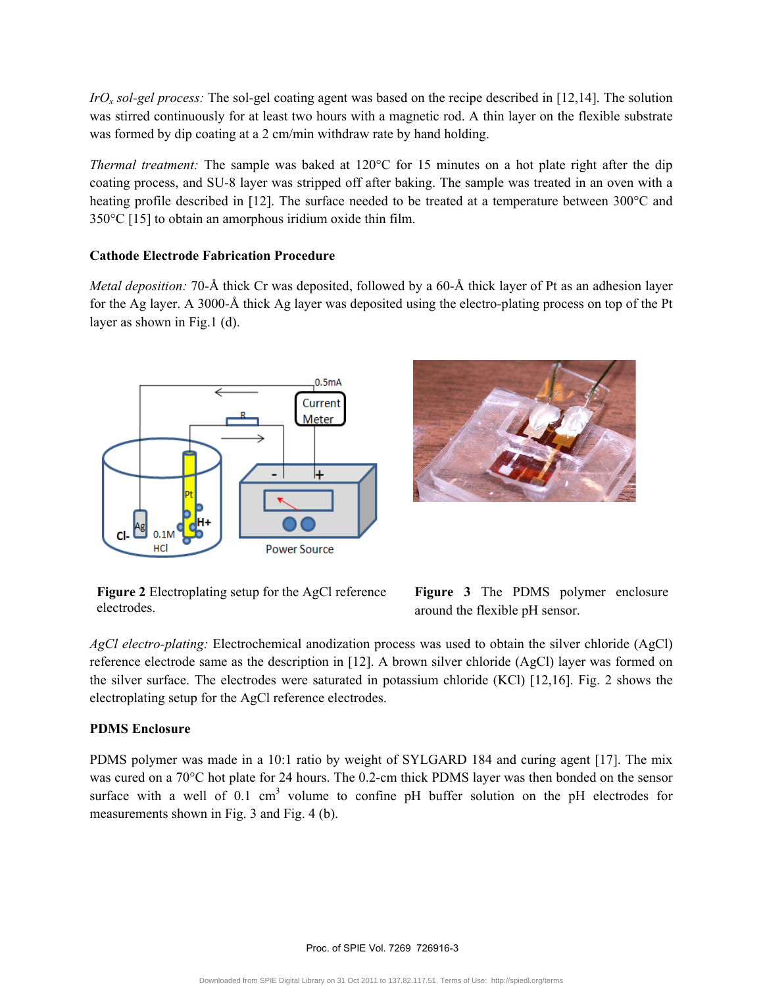*IrOx sol-gel process:* The sol-gel coating agent was based on the recipe described in [12,14]. The solution was stirred continuously for at least two hours with a magnetic rod. A thin layer on the flexible substrate was formed by dip coating at a 2 cm/min withdraw rate by hand holding.

*Thermal treatment:* The sample was baked at 120°C for 15 minutes on a hot plate right after the dip coating process, and SU-8 layer was stripped off after baking. The sample was treated in an oven with a heating profile described in [12]. The surface needed to be treated at a temperature between 300°C and 350°C [15] to obtain an amorphous iridium oxide thin film.

# **Cathode Electrode Fabrication Procedure**

*Metal deposition:* 70-Å thick Cr was deposited, followed by a 60-Å thick layer of Pt as an adhesion layer for the Ag layer. A 3000-Å thick Ag layer was deposited using the electro-plating process on top of the Pt layer as shown in Fig.1 (d).





**Figure 2** Electroplating setup for the AgCl reference electrodes.



*AgCl electro-plating:* Electrochemical anodization process was used to obtain the silver chloride (AgCl) reference electrode same as the description in [12]. A brown silver chloride (AgCl) layer was formed on the silver surface. The electrodes were saturated in potassium chloride (KCl) [12,16]. Fig. 2 shows the electroplating setup for the AgCl reference electrodes.

# **PDMS Enclosure**

PDMS polymer was made in a 10:1 ratio by weight of SYLGARD 184 and curing agent [17]. The mix was cured on a 70°C hot plate for 24 hours. The 0.2-cm thick PDMS layer was then bonded on the sensor surface with a well of  $0.1 \text{ cm}^3$  volume to confine pH buffer solution on the pH electrodes for measurements shown in Fig. 3 and Fig. 4 (b).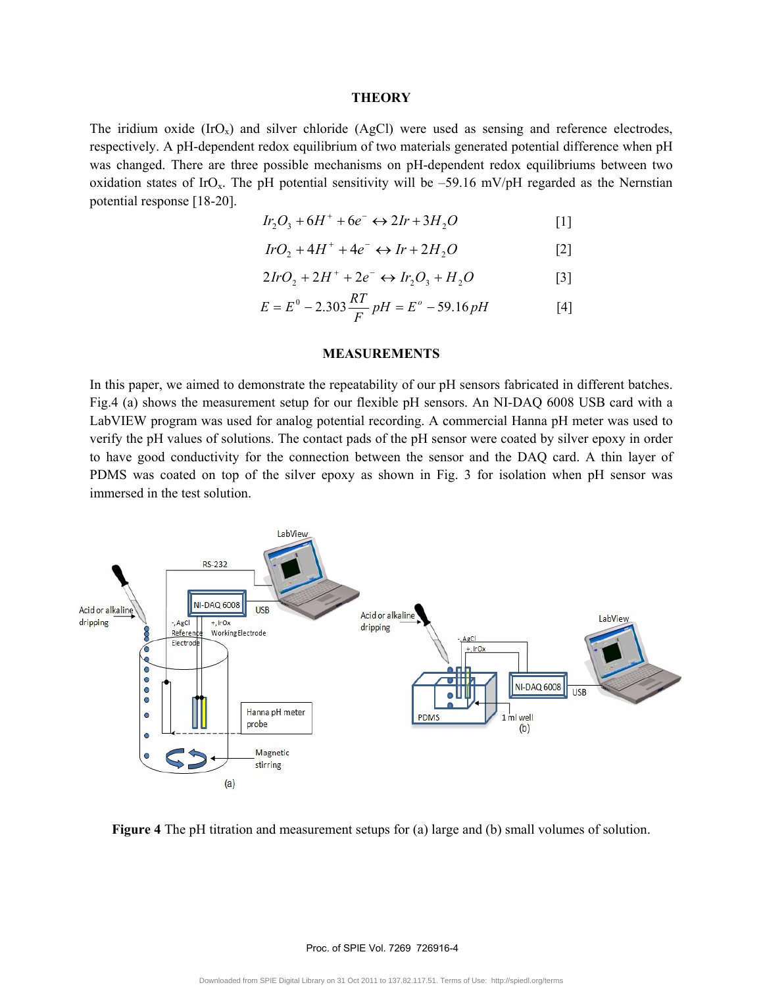### **THEORY**

The iridium oxide  $(IrO<sub>x</sub>)$  and silver chloride (AgCl) were used as sensing and reference electrodes, respectively. A pH-dependent redox equilibrium of two materials generated potential difference when pH was changed. There are three possible mechanisms on pH-dependent redox equilibriums between two oxidation states of IrO<sub>x</sub>. The pH potential sensitivity will be  $-59.16$  mV/pH regarded as the Nernstian potential response [18-20].

$$
Ir_2O_3 + 6H^+ + 6e^- \leftrightarrow 2Ir + 3H_2O \tag{1}
$$

$$
IrO_2 + 4H^+ + 4e^- \leftrightarrow Ir + 2H_2O \tag{2}
$$

$$
2IrO_2 + 2H^+ + 2e^- \leftrightarrow Ir_2O_3 + H_2O \tag{3}
$$

$$
E = E^0 - 2.303 \frac{RT}{F} pH = E^0 - 59.16 pH
$$
 [4]

#### **MEASUREMENTS**

In this paper, we aimed to demonstrate the repeatability of our pH sensors fabricated in different batches. Fig.4 (a) shows the measurement setup for our flexible pH sensors. An NI-DAQ 6008 USB card with a LabVIEW program was used for analog potential recording. A commercial Hanna pH meter was used to verify the pH values of solutions. The contact pads of the pH sensor were coated by silver epoxy in order to have good conductivity for the connection between the sensor and the DAQ card. A thin layer of PDMS was coated on top of the silver epoxy as shown in Fig. 3 for isolation when pH sensor was immersed in the test solution.



**Figure 4** The pH titration and measurement setups for (a) large and (b) small volumes of solution.

Proc. of SPIE Vol. 7269 726916-4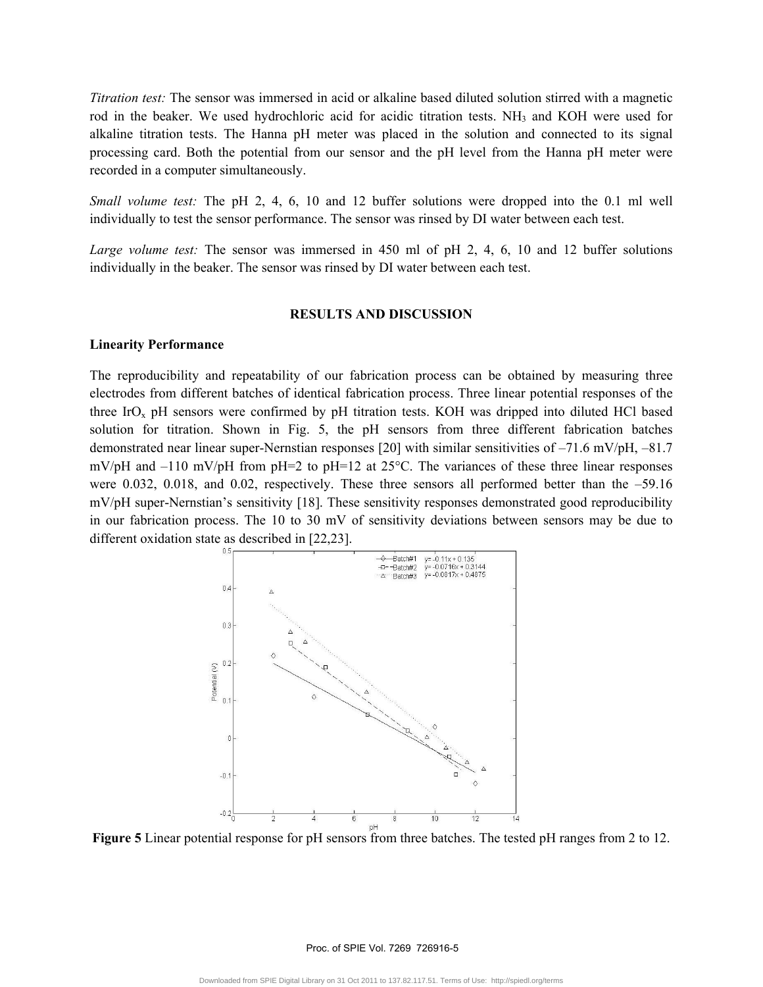*Titration test:* The sensor was immersed in acid or alkaline based diluted solution stirred with a magnetic rod in the beaker. We used hydrochloric acid for acidic titration tests. NH<sub>3</sub> and KOH were used for alkaline titration tests. The Hanna pH meter was placed in the solution and connected to its signal processing card. Both the potential from our sensor and the pH level from the Hanna pH meter were recorded in a computer simultaneously.

*Small volume test:* The pH 2, 4, 6, 10 and 12 buffer solutions were dropped into the 0.1 ml well individually to test the sensor performance. The sensor was rinsed by DI water between each test.

*Large volume test:* The sensor was immersed in 450 ml of pH 2, 4, 6, 10 and 12 buffer solutions individually in the beaker. The sensor was rinsed by DI water between each test.

### **RESULTS AND DISCUSSION**

### **Linearity Performance**

The reproducibility and repeatability of our fabrication process can be obtained by measuring three electrodes from different batches of identical fabrication process. Three linear potential responses of the three IrO<sub>x</sub> pH sensors were confirmed by pH titration tests. KOH was dripped into diluted HCl based solution for titration. Shown in Fig. 5, the pH sensors from three different fabrication batches demonstrated near linear super-Nernstian responses [20] with similar sensitivities of –71.6 mV/pH, –81.7 mV/pH and –110 mV/pH from pH=2 to pH=12 at 25°C. The variances of these three linear responses were 0.032, 0.018, and 0.02, respectively. These three sensors all performed better than the –59.16 mV/pH super-Nernstian's sensitivity [18]. These sensitivity responses demonstrated good reproducibility in our fabrication process. The 10 to 30 mV of sensitivity deviations between sensors may be due to different oxidation state as described in [22,23].



**Figure 5** Linear potential response for pH sensors from three batches. The tested pH ranges from 2 to 12.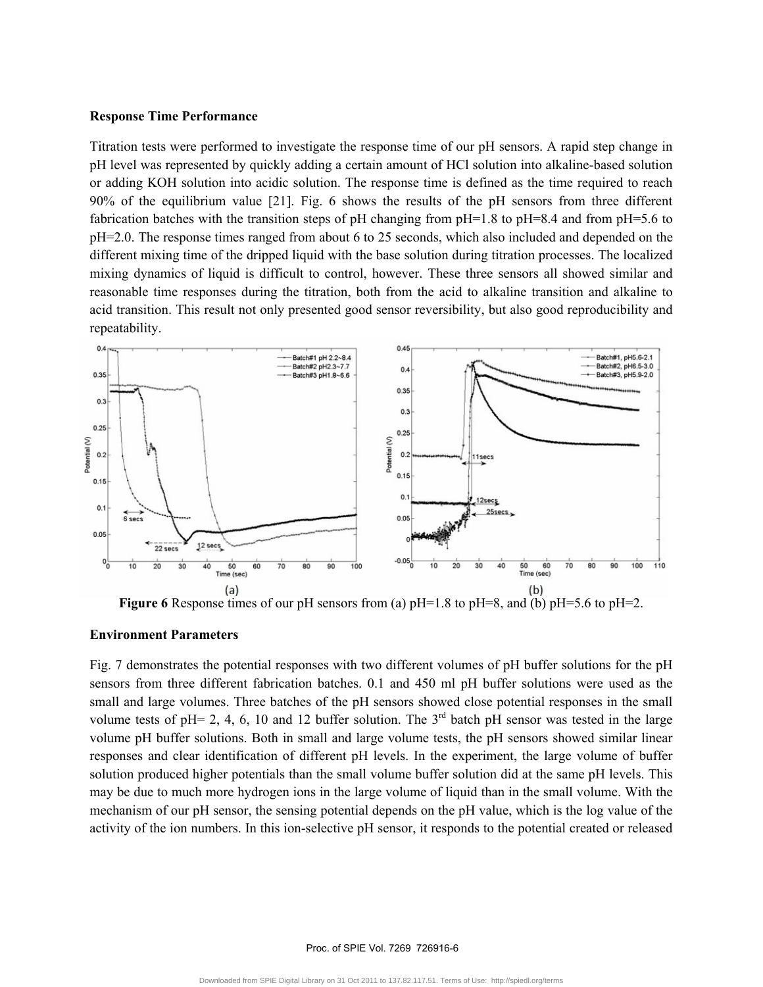### **Response Time Performance**

Titration tests were performed to investigate the response time of our pH sensors. A rapid step change in pH level was represented by quickly adding a certain amount of HCl solution into alkaline-based solution or adding KOH solution into acidic solution. The response time is defined as the time required to reach 90% of the equilibrium value [21]. Fig. 6 shows the results of the pH sensors from three different fabrication batches with the transition steps of pH changing from pH=1.8 to pH=8.4 and from pH=5.6 to pH=2.0. The response times ranged from about 6 to 25 seconds, which also included and depended on the different mixing time of the dripped liquid with the base solution during titration processes. The localized mixing dynamics of liquid is difficult to control, however. These three sensors all showed similar and reasonable time responses during the titration, both from the acid to alkaline transition and alkaline to acid transition. This result not only presented good sensor reversibility, but also good reproducibility and repeatability.



**Figure 6** Response times of our pH sensors from (a) pH=1.8 to pH=8, and (b) pH=5.6 to pH=2.

### **Environment Parameters**

Fig. 7 demonstrates the potential responses with two different volumes of pH buffer solutions for the pH sensors from three different fabrication batches. 0.1 and 450 ml pH buffer solutions were used as the small and large volumes. Three batches of the pH sensors showed close potential responses in the small volume tests of pH= 2, 4, 6, 10 and 12 buffer solution. The  $3<sup>rd</sup>$  batch pH sensor was tested in the large volume pH buffer solutions. Both in small and large volume tests, the pH sensors showed similar linear responses and clear identification of different pH levels. In the experiment, the large volume of buffer solution produced higher potentials than the small volume buffer solution did at the same pH levels. This may be due to much more hydrogen ions in the large volume of liquid than in the small volume. With the mechanism of our pH sensor, the sensing potential depends on the pH value, which is the log value of the activity of the ion numbers. In this ion-selective pH sensor, it responds to the potential created or released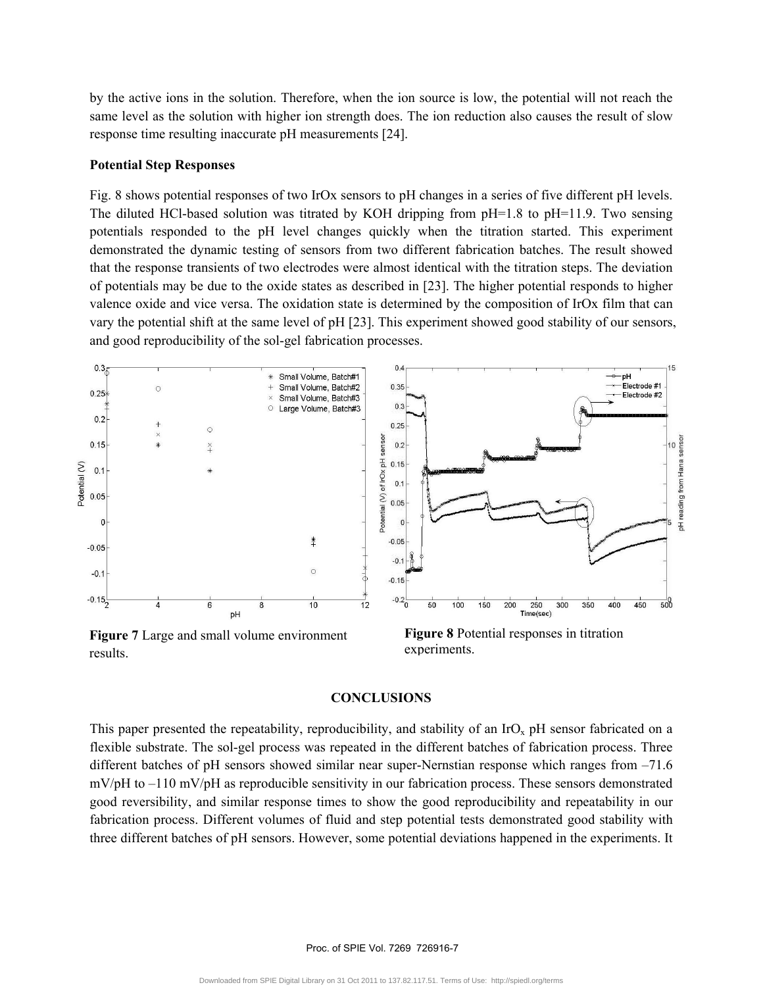by the active ions in the solution. Therefore, when the ion source is low, the potential will not reach the same level as the solution with higher ion strength does. The ion reduction also causes the result of slow response time resulting inaccurate pH measurements [24].

### **Potential Step Responses**

Fig. 8 shows potential responses of two IrOx sensors to pH changes in a series of five different pH levels. The diluted HCl-based solution was titrated by KOH dripping from pH=1.8 to pH=11.9. Two sensing potentials responded to the pH level changes quickly when the titration started. This experiment demonstrated the dynamic testing of sensors from two different fabrication batches. The result showed that the response transients of two electrodes were almost identical with the titration steps. The deviation of potentials may be due to the oxide states as described in [23]. The higher potential responds to higher valence oxide and vice versa. The oxidation state is determined by the composition of IrOx film that can vary the potential shift at the same level of pH [23]. This experiment showed good stability of our sensors, and good reproducibility of the sol-gel fabrication processes.



results.

**Figure 8** Potential responses in titration experiments.

### **CONCLUSIONS**

This paper presented the repeatability, reproducibility, and stability of an  $\text{IrO}_x$  pH sensor fabricated on a flexible substrate. The sol-gel process was repeated in the different batches of fabrication process. Three different batches of pH sensors showed similar near super-Nernstian response which ranges from –71.6 mV/pH to –110 mV/pH as reproducible sensitivity in our fabrication process. These sensors demonstrated good reversibility, and similar response times to show the good reproducibility and repeatability in our fabrication process. Different volumes of fluid and step potential tests demonstrated good stability with three different batches of pH sensors. However, some potential deviations happened in the experiments. It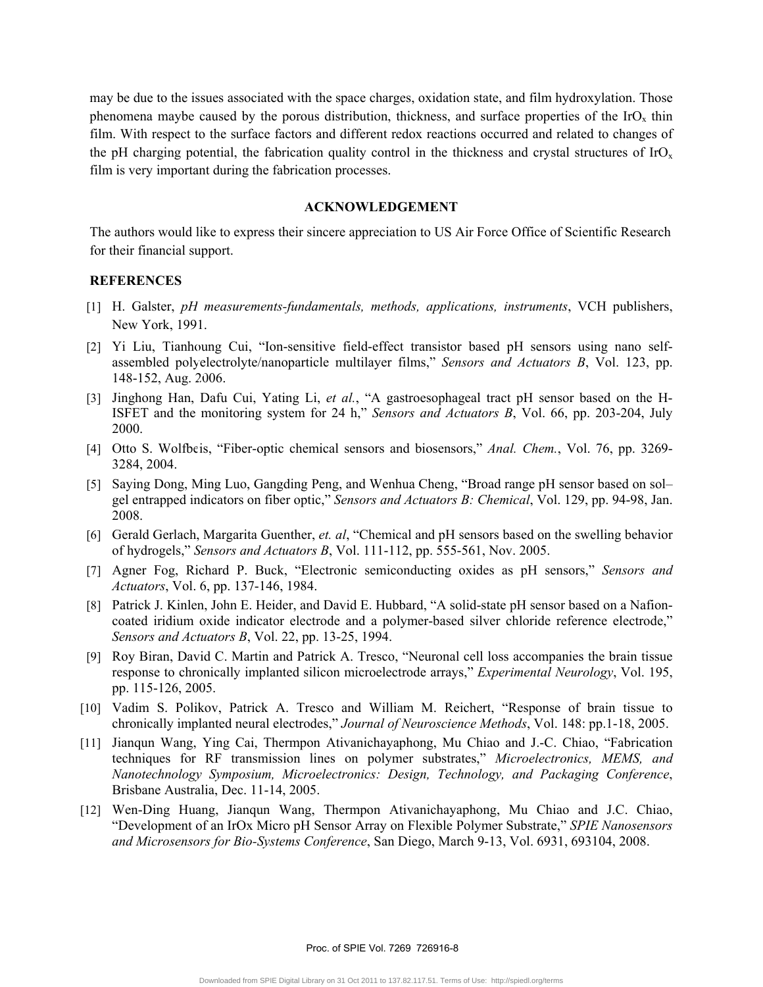may be due to the issues associated with the space charges, oxidation state, and film hydroxylation. Those phenomena maybe caused by the porous distribution, thickness, and surface properties of the  $IrO<sub>x</sub>$  thin film. With respect to the surface factors and different redox reactions occurred and related to changes of the pH charging potential, the fabrication quality control in the thickness and crystal structures of  $\text{IrO}_x$ film is very important during the fabrication processes.

### **ACKNOWLEDGEMENT**

The authors would like to express their sincere appreciation to US Air Force Office of Scientific Research for their financial support.

# **REFERENCES**

- [1] H. Galster, *pH measurements-fundamentals, methods, applications, instruments*, VCH publishers, New York, 1991.
- [2] Yi Liu, Tianhoung Cui, "Ion-sensitive field-effect transistor based pH sensors using nano selfassembled polyelectrolyte/nanoparticle multilayer films," *Sensors and Actuators B*, Vol. 123, pp. 148-152, Aug. 2006.
- [3] Jinghong Han, Dafu Cui, Yating Li, *et al.*, "A gastroesophageal tract pH sensor based on the H-ISFET and the monitoring system for 24 h," *Sensors and Actuators B*, Vol. 66, pp. 203-204, July 2000.
- [4] Otto S. Wolfbeis, "Fiber-optic chemical sensors and biosensors," *Anal. Chem.*, Vol. 76, pp. 3269- 3284, 2004.
- [5] Saying Dong, Ming Luo, Gangding Peng, and Wenhua Cheng, "Broad range pH sensor based on sol– gel entrapped indicators on fiber optic," *Sensors and Actuators B: Chemical*, Vol. 129, pp. 94-98, Jan. 2008.
- [6] Gerald Gerlach, Margarita Guenther, *et. al*, "Chemical and pH sensors based on the swelling behavior of hydrogels," *Sensors and Actuators B*, Vol. 111-112, pp. 555-561, Nov. 2005.
- [7] Agner Fog, Richard P. Buck, "Electronic semiconducting oxides as pH sensors," *Sensors and Actuators*, Vol. 6, pp. 137-146, 1984.
- [8] Patrick J. Kinlen, John E. Heider, and David E. Hubbard, "A solid-state pH sensor based on a Nafioncoated iridium oxide indicator electrode and a polymer-based silver chloride reference electrode," *Sensors and Actuators B*, Vol. 22, pp. 13-25, 1994.
- [9] Roy Biran, David C. Martin and Patrick A. Tresco, "Neuronal cell loss accompanies the brain tissue response to chronically implanted silicon microelectrode arrays," *Experimental Neurology*, Vol. 195, pp. 115-126, 2005.
- [10] Vadim S. Polikov, Patrick A. Tresco and William M. Reichert, "Response of brain tissue to chronically implanted neural electrodes," *Journal of Neuroscience Methods*, Vol. 148: pp.1-18, 2005.
- [11] Jianqun Wang, Ying Cai, Thermpon Ativanichayaphong, Mu Chiao and J.-C. Chiao, "Fabrication techniques for RF transmission lines on polymer substrates," *Microelectronics, MEMS, and Nanotechnology Symposium, Microelectronics: Design, Technology, and Packaging Conference*, Brisbane Australia, Dec. 11-14, 2005.
- [12] Wen-Ding Huang, Jianqun Wang, Thermpon Ativanichayaphong, Mu Chiao and J.C. Chiao, "Development of an IrOx Micro pH Sensor Array on Flexible Polymer Substrate," *SPIE Nanosensors and Microsensors for Bio-Systems Conference*, San Diego, March 9-13, Vol. 6931, 693104, 2008.